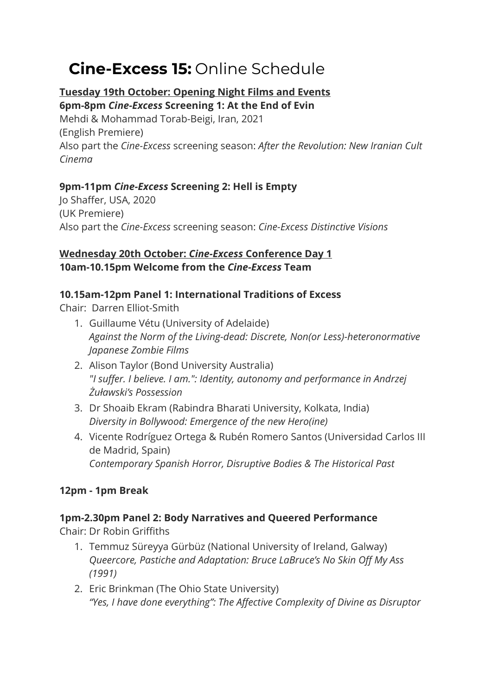# **Cine-Excess 15:** Online Schedule

# **Tuesday 19th October: Opening Night Films and Events**

**6pm-8pm** *Cine-Excess* **Screening 1: At the End of Evin** Mehdi & Mohammad Torab-Beigi, Iran, 2021 (English Premiere) Also part the *Cine-Excess* screening season: *After the Revolution: New Iranian Cult Cinema*

# **9pm-11pm** *Cine-Excess* **Screening 2: Hell is Empty**

Jo Shaffer, USA, 2020 (UK Premiere) Also part the *Cine-Excess* screening season: *Cine-Excess Distinctive Visions*

## **Wednesday 20th October:** *Cine-Excess* **Conference Day 1 10am-10.15pm Welcome from the** *Cine-Excess* **Team**

## **10.15am-12pm Panel 1: International Traditions of Excess**

Chair: Darren Elliot-Smith

- 1. Guillaume Vétu (University of Adelaide) *Against the Norm of the Living-dead: Discrete, Non(or Less)-heteronormative Japanese Zombie Films*
- 2. Alison Taylor (Bond University Australia) *"I suffer. I believe. I am.": Identity, autonomy and performance in Andrzej Żuławski's Possession*
- 3. Dr Shoaib Ekram (Rabindra Bharati University, Kolkata, India) *Diversity in Bollywood: Emergence of the new Hero(ine)*
- 4. Vicente Rodríguez Ortega & Rubén Romero Santos (Universidad Carlos III de Madrid, Spain) *Contemporary Spanish Horror, Disruptive Bodies & The Historical Past*

# **12pm - 1pm Break**

# **1pm-2.30pm Panel 2: Body Narratives and Queered Performance**

Chair: Dr Robin Griffiths

- 1. Temmuz Süreyya Gürbüz (National University of Ireland, Galway) *Queercore, Pastiche and Adaptation: Bruce LaBruce's No Skin Off My Ass (1991)*
- 2. Eric Brinkman (The Ohio State University) *"Yes, I have done everything": The Affective Complexity of Divine as Disruptor*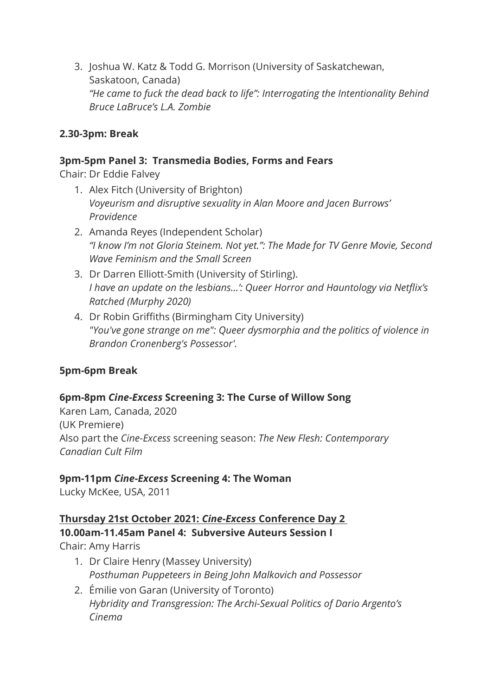3. Joshua W. Katz & Todd G. Morrison (University of Saskatchewan, Saskatoon, Canada) *"He came to fuck the dead back to life": Interrogating the Intentionality Behind Bruce LaBruce's L.A. Zombie*

## **2.30-3pm: Break**

#### **3pm-5pm Panel 3: Transmedia Bodies, Forms and Fears**

Chair: Dr Eddie Falvey

- 1. Alex Fitch (University of Brighton) *Voyeurism and disruptive sexuality in Alan Moore and Jacen Burrows' Providence*
- 2. Amanda Reyes (Independent Scholar) *"I know I'm not Gloria Steinem. Not yet.": The Made for TV Genre Movie, Second Wave Feminism and the Small Screen*
- 3. Dr Darren Elliott-Smith (University of Stirling). *I have an update on the lesbians…': Queer Horror and Hauntology via Netflix's Ratched (Murphy 2020)*
- 4. Dr Robin Griffiths (Birmingham City University) *"You've gone strange on me": Queer dysmorphia and the politics of violence in Brandon Cronenberg's Possessor'.*

## **5pm-6pm Break**

## **6pm-8pm** *Cine-Excess* **Screening 3: The Curse of Willow Song**

Karen Lam, Canada, 2020 (UK Premiere) Also part the *Cine-Excess* screening season: *The New Flesh: Contemporary Canadian Cult Film*

#### **9pm-11pm** *Cine-Excess* **Screening 4: The Woman**

Lucky McKee, USA, 2011

# **Thursday 21st October 2021:** *Cine-Excess* **Conference Day 2**

**10.00am-11.45am Panel 4: Subversive Auteurs Session I** Chair: Amy Harris

- 1. Dr Claire Henry (Massey University) *Posthuman Puppeteers in Being John Malkovich and Possessor*
- 2. Émilie von Garan (University of Toronto) *Hybridity and Transgression: The Archi-Sexual Politics of Dario Argento's Cinema*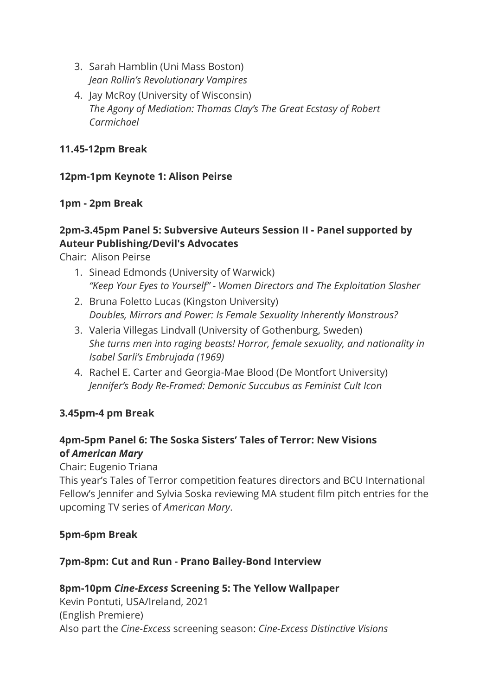- 3. Sarah Hamblin (Uni Mass Boston) *Jean Rollin's Revolutionary Vampires*
- 4. Jay McRoy (University of Wisconsin) *The Agony of Mediation: Thomas Clay's The Great Ecstasy of Robert Carmichael*

## **11.45-12pm Break**

## **12pm-1pm Keynote 1: Alison Peirse**

## **1pm - 2pm Break**

## **2pm-3.45pm Panel 5: Subversive Auteurs Session II - Panel supported by Auteur Publishing/Devil's Advocates**

Chair: Alison Peirse

- 1. Sinead Edmonds (University of Warwick) *"Keep Your Eyes to Yourself" - Women Directors and The Exploitation Slasher*
- 2. Bruna Foletto Lucas (Kingston University) *Doubles, Mirrors and Power: Is Female Sexuality Inherently Monstrous?*
- 3. Valeria Villegas Lindvall (University of Gothenburg, Sweden) *She turns men into raging beasts! Horror, female sexuality, and nationality in Isabel Sarli's Embrujada (1969)*
- 4. Rachel E. Carter and Georgia-Mae Blood (De Montfort University) *Jennifer's Body Re-Framed: Demonic Succubus as Feminist Cult Icon*

## **3.45pm-4 pm Break**

## **4pm-5pm Panel 6: The Soska Sisters' Tales of Terror: New Visions of** *American Mary*

Chair: Eugenio Triana

This year's Tales of Terror competition features directors and BCU International Fellow's Jennifer and Sylvia Soska reviewing MA student film pitch entries for the upcoming TV series of *American Mary*.

#### **5pm-6pm Break**

#### **7pm-8pm: Cut and Run - Prano Bailey-Bond Interview**

#### **8pm-10pm** *Cine-Excess* **Screening 5: The Yellow Wallpaper** Kevin Pontuti, USA/Ireland, 2021

(English Premiere) Also part the *Cine-Excess* screening season: *Cine-Excess Distinctive Visions*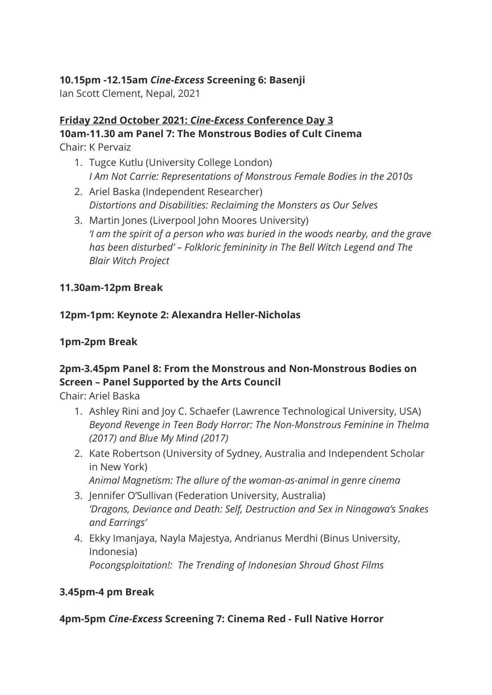## **10.15pm -12.15am** *Cine-Excess* **Screening 6: Basenji**

Ian Scott Clement, Nepal, 2021

# **Friday 22nd October 2021:** *Cine-Excess* **Conference Day 3 10am-11.30 am Panel 7: The Monstrous Bodies of Cult Cinema**

Chair: K Pervaiz

- 1. Tugce Kutlu (University College London) *I Am Not Carrie: Representations of Monstrous Female Bodies in the 2010s*
- 2. Ariel Baska (Independent Researcher) *Distortions and Disabilities: Reclaiming the Monsters as Our Selves*
- 3. Martin Jones (Liverpool John Moores University) *'I am the spirit of a person who was buried in the woods nearby, and the grave has been disturbed' – Folkloric femininity in The Bell Witch Legend and The Blair Witch Project*

## **11.30am-12pm Break**

## **12pm-1pm: Keynote 2: Alexandra Heller-Nicholas**

## **1pm-2pm Break**

## **2pm-3.45pm Panel 8: From the Monstrous and Non-Monstrous Bodies on Screen – Panel Supported by the Arts Council**

Chair: Ariel Baska

- 1. Ashley Rini and Joy C. Schaefer (Lawrence Technological University, USA) *Beyond Revenge in Teen Body Horror: The Non-Monstrous Feminine in Thelma (2017) and Blue My Mind (2017)*
- 2. Kate Robertson (University of Sydney, Australia and Independent Scholar in New York) *Animal Magnetism: The allure of the woman-as-animal in genre cinema*
- 3. Jennifer O'Sullivan (Federation University, Australia) *'Dragons, Deviance and Death: Self, Destruction and Sex in Ninagawa's Snakes and Earrings'*
- 4. Ekky Imanjaya, Nayla Majestya, Andrianus Merdhi (Binus University, Indonesia) *Pocongsploitation!: The Trending of Indonesian Shroud Ghost Films*

## **3.45pm-4 pm Break**

## **4pm-5pm** *Cine-Excess* **Screening 7: Cinema Red - Full Native Horror**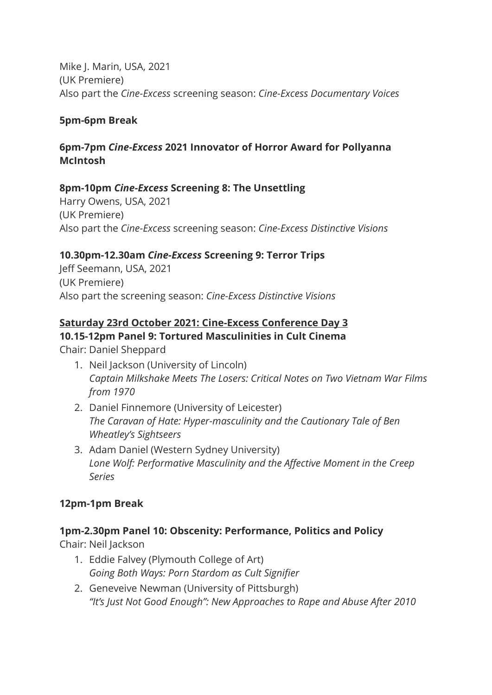Mike J. Marin, USA, 2021 (UK Premiere) Also part the *Cine-Excess* screening season: *Cine-Excess Documentary Voices*

#### **5pm-6pm Break**

## **6pm-7pm** *Cine-Excess* **2021 Innovator of Horror Award for Pollyanna McIntosh**

#### **8pm-10pm** *Cine-Excess* **Screening 8: The Unsettling**

Harry Owens, USA, 2021 (UK Premiere) Also part the *Cine-Excess* screening season: *Cine-Excess Distinctive Visions*

#### **10.30pm-12.30am** *Cine-Excess* **Screening 9: Terror Trips**

Jeff Seemann, USA, 2021 (UK Premiere) Also part the screening season: *Cine-Excess Distinctive Visions*

#### **Saturday 23rd October 2021: Cine-Excess Conference Day 3**

#### **10.15-12pm Panel 9: Tortured Masculinities in Cult Cinema**

Chair: Daniel Sheppard

- 1. Neil Jackson (University of Lincoln) *Captain Milkshake Meets The Losers: Critical Notes on Two Vietnam War Films from 1970*
- 2. Daniel Finnemore (University of Leicester) *The Caravan of Hate: Hyper-masculinity and the Cautionary Tale of Ben Wheatley's Sightseers*
- 3. Adam Daniel (Western Sydney University) *Lone Wolf: Performative Masculinity and the Affective Moment in the Creep Series*

#### **12pm-1pm Break**

#### **1pm-2.30pm Panel 10: Obscenity: Performance, Politics and Policy**

Chair: Neil Jackson

- 1. Eddie Falvey (Plymouth College of Art) *Going Both Ways: Porn Stardom as Cult Signifier*
- 2. Geneveive Newman (University of Pittsburgh) *"It's Just Not Good Enough": New Approaches to Rape and Abuse After 2010*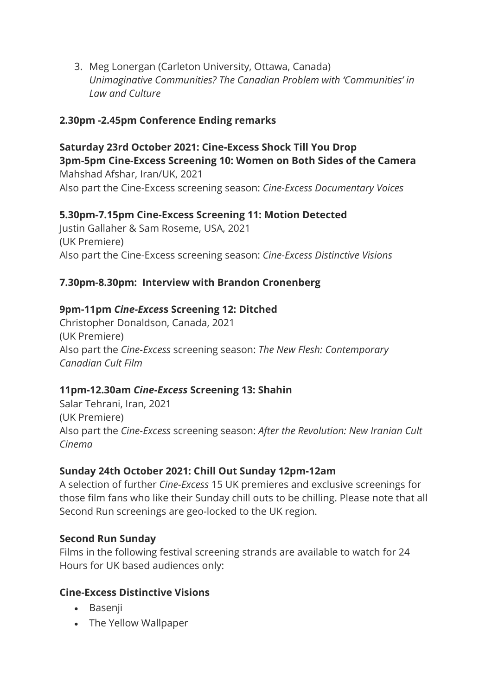3. Meg Lonergan (Carleton University, Ottawa, Canada) *Unimaginative Communities? The Canadian Problem with 'Communities' in Law and Culture*

## **2.30pm -2.45pm Conference Ending remarks**

**Saturday 23rd October 2021: Cine-Excess Shock Till You Drop 3pm-5pm Cine-Excess Screening 10: Women on Both Sides of the Camera** Mahshad Afshar, Iran/UK, 2021 Also part the Cine-Excess screening season: *Cine-Excess Documentary Voices*

#### **5.30pm-7.15pm Cine-Excess Screening 11: Motion Detected**

Justin Gallaher & Sam Roseme, USA, 2021 (UK Premiere) Also part the Cine-Excess screening season: *Cine-Excess Distinctive Visions*

## **7.30pm-8.30pm: Interview with Brandon Cronenberg**

## **9pm-11pm** *Cine-Exces***s Screening 12: Ditched**

Christopher Donaldson, Canada, 2021 (UK Premiere) Also part the *Cine-Excess* screening season: *The New Flesh: Contemporary Canadian Cult Film*

#### **11pm-12.30am** *Cine-Excess* **Screening 13: Shahin**

Salar Tehrani, Iran, 2021 (UK Premiere) Also part the *Cine-Excess* screening season: *After the Revolution: New Iranian Cult Cinema*

#### **Sunday 24th October 2021: Chill Out Sunday 12pm-12am**

A selection of further *Cine-Excess* 15 UK premieres and exclusive screenings for those film fans who like their Sunday chill outs to be chilling. Please note that all Second Run screenings are geo-locked to the UK region.

#### **Second Run Sunday**

Films in the following festival screening strands are available to watch for 24 Hours for UK based audiences only:

#### **Cine-Excess Distinctive Visions**

- Basenji
- The Yellow Wallpaper